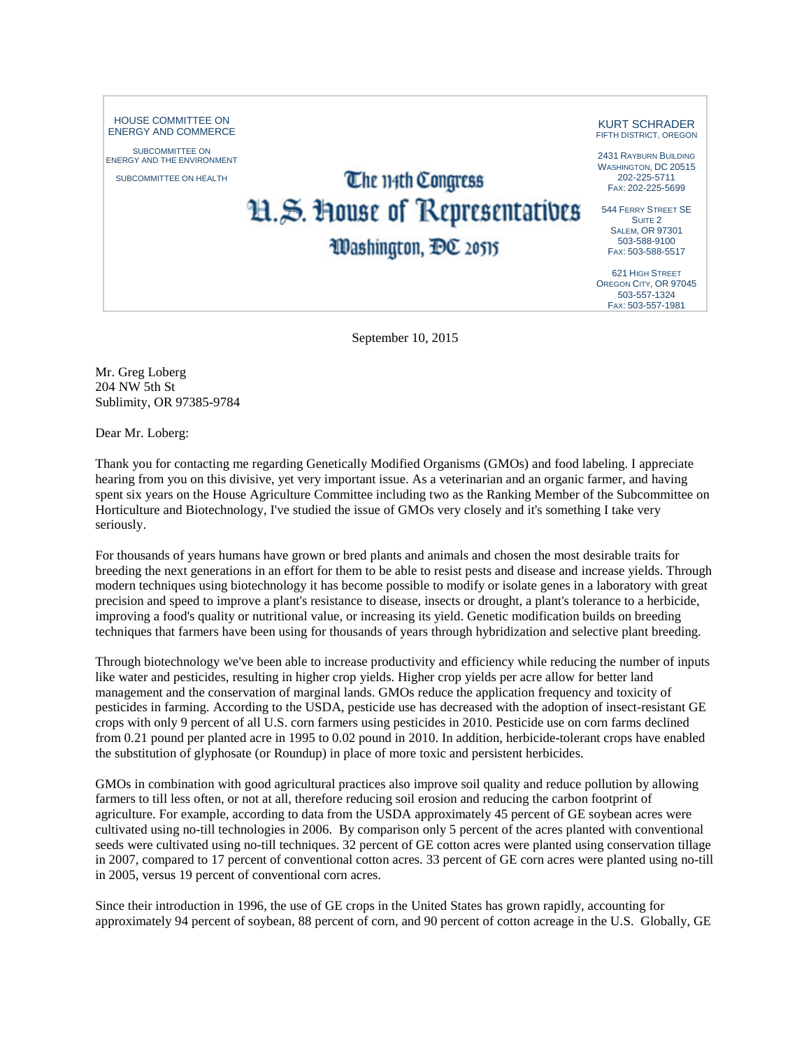HOUSE COMMITTEE ON ENERGY AND COMMERCE

SUBCOMMITTEE ON ENERGY AND THE ENVIRONMENT

SUBCOMMITTEE ON HEALTH

## The 114th Congress H.S. House of Representatives

Washington, DC 20515

KURT SCHRADER FIFTH DISTRICT, OREGON

2431 RAYBURN BUILDING WASHINGTON, DC 20515 202-225-5711 FAX: 202-225-5699

544 FERRY STREET SE SUITE<sub>2</sub> SALEM, OR 97301 503-588-9100 FAX: 503-588-5517

621 HIGH STREET OREGON CITY, OR 97045 503-557-1324 FAX: 503-557-1981

September 10, 2015

Mr. Greg Loberg 204 NW 5th St Sublimity, OR 97385-9784

Dear Mr. Loberg:

Thank you for contacting me regarding Genetically Modified Organisms (GMOs) and food labeling. I appreciate hearing from you on this divisive, yet very important issue. As a veterinarian and an organic farmer, and having spent six years on the House Agriculture Committee including two as the Ranking Member of the Subcommittee on Horticulture and Biotechnology, I've studied the issue of GMOs very closely and it's something I take very seriously.

For thousands of years humans have grown or bred plants and animals and chosen the most desirable traits for breeding the next generations in an effort for them to be able to resist pests and disease and increase yields. Through modern techniques using biotechnology it has become possible to modify or isolate genes in a laboratory with great precision and speed to improve a plant's resistance to disease, insects or drought, a plant's tolerance to a herbicide, improving a food's quality or nutritional value, or increasing its yield. Genetic modification builds on breeding techniques that farmers have been using for thousands of years through hybridization and selective plant breeding.

Through biotechnology we've been able to increase productivity and efficiency while reducing the number of inputs like water and pesticides, resulting in higher crop yields. Higher crop yields per acre allow for better land management and the conservation of marginal lands. GMOs reduce the application frequency and toxicity of pesticides in farming. According to the USDA, pesticide use has decreased with the adoption of insect-resistant GE crops with only 9 percent of all U.S. corn farmers using pesticides in 2010. Pesticide use on corn farms declined from 0.21 pound per planted acre in 1995 to 0.02 pound in 2010. In addition, herbicide-tolerant crops have enabled the substitution of glyphosate (or Roundup) in place of more toxic and persistent herbicides.

GMOs in combination with good agricultural practices also improve soil quality and reduce pollution by allowing farmers to till less often, or not at all, therefore reducing soil erosion and reducing the carbon footprint of agriculture. For example, according to data from the USDA approximately 45 percent of GE soybean acres were cultivated using no-till technologies in 2006. By comparison only 5 percent of the acres planted with conventional seeds were cultivated using no-till techniques. 32 percent of GE cotton acres were planted using conservation tillage in 2007, compared to 17 percent of conventional cotton acres. 33 percent of GE corn acres were planted using no-till in 2005, versus 19 percent of conventional corn acres.

Since their introduction in 1996, the use of GE crops in the United States has grown rapidly, accounting for approximately 94 percent of soybean, 88 percent of corn, and 90 percent of cotton acreage in the U.S. Globally, GE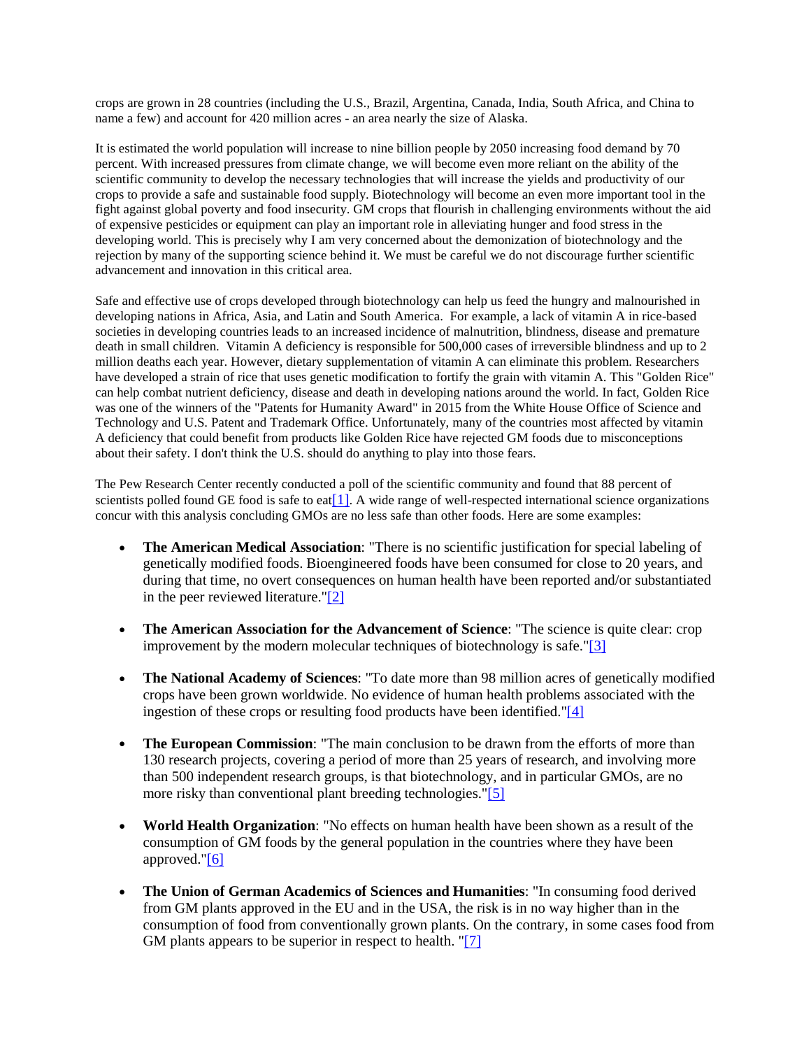crops are grown in 28 countries (including the U.S., Brazil, Argentina, Canada, India, South Africa, and China to name a few) and account for 420 million acres - an area nearly the size of Alaska.

It is estimated the world population will increase to nine billion people by 2050 increasing food demand by 70 percent. With increased pressures from climate change, we will become even more reliant on the ability of the scientific community to develop the necessary technologies that will increase the yields and productivity of our crops to provide a safe and sustainable food supply. Biotechnology will become an even more important tool in the fight against global poverty and food insecurity. GM crops that flourish in challenging environments without the aid of expensive pesticides or equipment can play an important role in alleviating hunger and food stress in the developing world. This is precisely why I am very concerned about the demonization of biotechnology and the rejection by many of the supporting science behind it. We must be careful we do not discourage further scientific advancement and innovation in this critical area.

Safe and effective use of crops developed through biotechnology can help us feed the hungry and malnourished in developing nations in Africa, Asia, and Latin and South America. For example, a lack of vitamin A in rice-based societies in developing countries leads to an increased incidence of malnutrition, blindness, disease and premature death in small children. Vitamin A deficiency is responsible for 500,000 cases of irreversible blindness and up to 2 million deaths each year. However, dietary supplementation of vitamin A can eliminate this problem. Researchers have developed a strain of rice that uses genetic modification to fortify the grain with vitamin A. This "Golden Rice" can help combat nutrient deficiency, disease and death in developing nations around the world. In fact, Golden Rice was one of the winners of the "Patents for Humanity Award" in 2015 from the White House Office of Science and Technology and U.S. Patent and Trademark Office. Unfortunately, many of the countries most affected by vitamin A deficiency that could benefit from products like Golden Rice have rejected GM foods due to misconceptions about their safety. I don't think the U.S. should do anything to play into those fears.

The Pew Research Center recently conducted a poll of the scientific community and found that 88 percent of scientists polled found GE food is safe to eat [1]. A wide range of well-respected international science organizations concur with this analysis concluding GMOs are no less safe than other foods. Here are some examples:

- **The American Medical Association**: "There is no scientific justification for special labeling of genetically modified foods. Bioengineered foods have been consumed for close to 20 years, and during that time, no overt consequences on human health have been reported and/or substantiated in the peer reviewed literature."[2]
- **The American Association for the Advancement of Science**: "The science is quite clear: crop improvement by the modern molecular techniques of biotechnology is safe."[3]
- **The National Academy of Sciences**: "To date more than 98 million acres of genetically modified crops have been grown worldwide. No evidence of human health problems associated with the ingestion of these crops or resulting food products have been identified."[4]
- **The European Commission**: "The main conclusion to be drawn from the efforts of more than 130 research projects, covering a period of more than 25 years of research, and involving more than 500 independent research groups, is that biotechnology, and in particular GMOs, are no more risky than conventional plant breeding technologies."[5]
- **World Health Organization**: "No effects on human health have been shown as a result of the consumption of GM foods by the general population in the countries where they have been approved."[6]
- **The Union of German Academics of Sciences and Humanities**: "In consuming food derived from GM plants approved in the EU and in the USA, the risk is in no way higher than in the consumption of food from conventionally grown plants. On the contrary, in some cases food from GM plants appears to be superior in respect to health. "[7]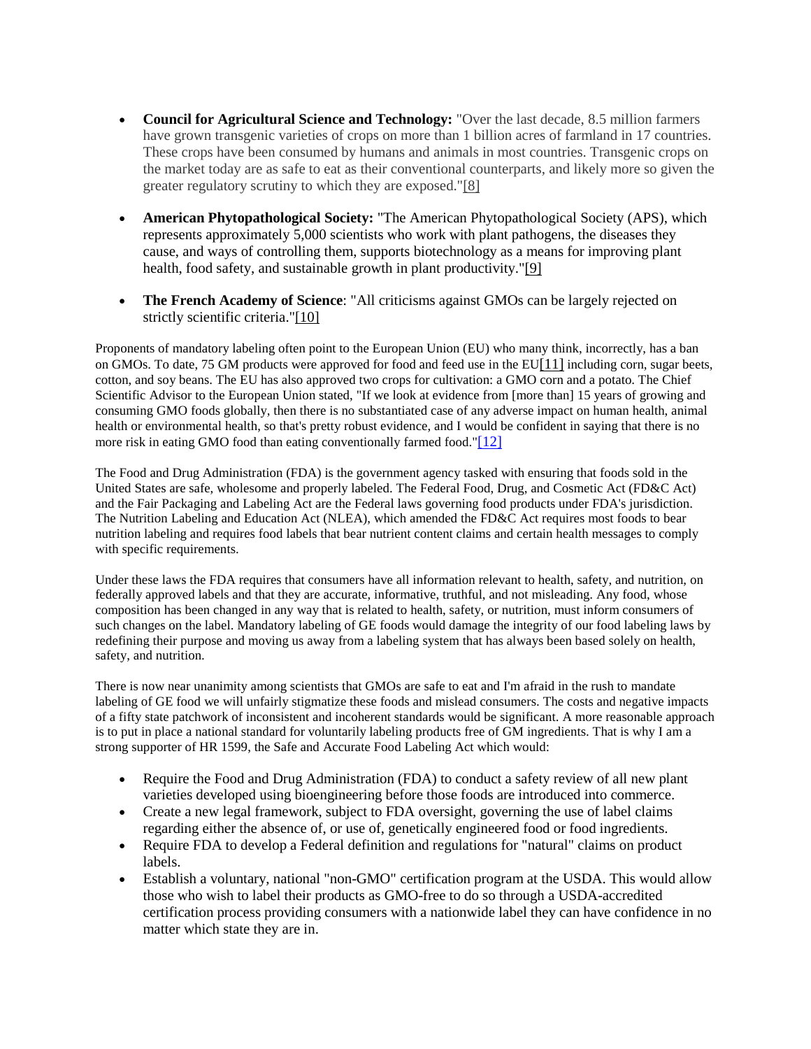- **Council for Agricultural Science and Technology:** "Over the last decade, 8.5 million farmers have grown transgenic varieties of crops on more than 1 billion acres of farmland in 17 countries. These crops have been consumed by humans and animals in most countries. Transgenic crops on the market today are as safe to eat as their conventional counterparts, and likely more so given the greater regulatory scrutiny to which they are exposed."[8]
- **American Phytopathological Society:** "The American Phytopathological Society (APS), which represents approximately 5,000 scientists who work with plant pathogens, the diseases they cause, and ways of controlling them, supports biotechnology as a means for improving plant health, food safety, and sustainable growth in plant productivity."[9]
- **The French Academy of Science**: "All criticisms against GMOs can be largely rejected on strictly scientific criteria."[10]

Proponents of mandatory labeling often point to the European Union (EU) who many think, incorrectly, has a ban on GMOs. To date, 75 GM products were approved for food and feed use in the EU[11] including corn, sugar beets, cotton, and soy beans. The EU has also approved two crops for cultivation: a GMO corn and a potato. The Chief Scientific Advisor to the European Union stated, "If we look at evidence from [more than] 15 years of growing and consuming GMO foods globally, then there is no substantiated case of any adverse impact on human health, animal health or environmental health, so that's pretty robust evidence, and I would be confident in saying that there is no more risk in eating GMO food than eating conventionally farmed food."[12]

The Food and Drug Administration (FDA) is the government agency tasked with ensuring that foods sold in the United States are safe, wholesome and properly labeled. The Federal Food, Drug, and Cosmetic Act (FD&C Act) and the Fair Packaging and Labeling Act are the Federal laws governing food products under FDA's jurisdiction. The Nutrition Labeling and Education Act (NLEA), which amended the FD&C Act requires most foods to bear nutrition labeling and requires food labels that bear nutrient content claims and certain health messages to comply with specific requirements.

Under these laws the FDA requires that consumers have all information relevant to health, safety, and nutrition, on federally approved labels and that they are accurate, informative, truthful, and not misleading. Any food, whose composition has been changed in any way that is related to health, safety, or nutrition, must inform consumers of such changes on the label. Mandatory labeling of GE foods would damage the integrity of our food labeling laws by redefining their purpose and moving us away from a labeling system that has always been based solely on health, safety, and nutrition.

There is now near unanimity among scientists that GMOs are safe to eat and I'm afraid in the rush to mandate labeling of GE food we will unfairly stigmatize these foods and mislead consumers. The costs and negative impacts of a fifty state patchwork of inconsistent and incoherent standards would be significant. A more reasonable approach is to put in place a national standard for voluntarily labeling products free of GM ingredients. That is why I am a strong supporter of HR 1599, the Safe and Accurate Food Labeling Act which would:

- Require the Food and Drug Administration (FDA) to conduct a safety review of all new plant varieties developed using bioengineering before those foods are introduced into commerce.
- Create a new legal framework, subject to FDA oversight, governing the use of label claims regarding either the absence of, or use of, genetically engineered food or food ingredients.
- Require FDA to develop a Federal definition and regulations for "natural" claims on product labels.
- Establish a voluntary, national "non-GMO" certification program at the USDA. This would allow those who wish to label their products as GMO-free to do so through a USDA-accredited certification process providing consumers with a nationwide label they can have confidence in no matter which state they are in.